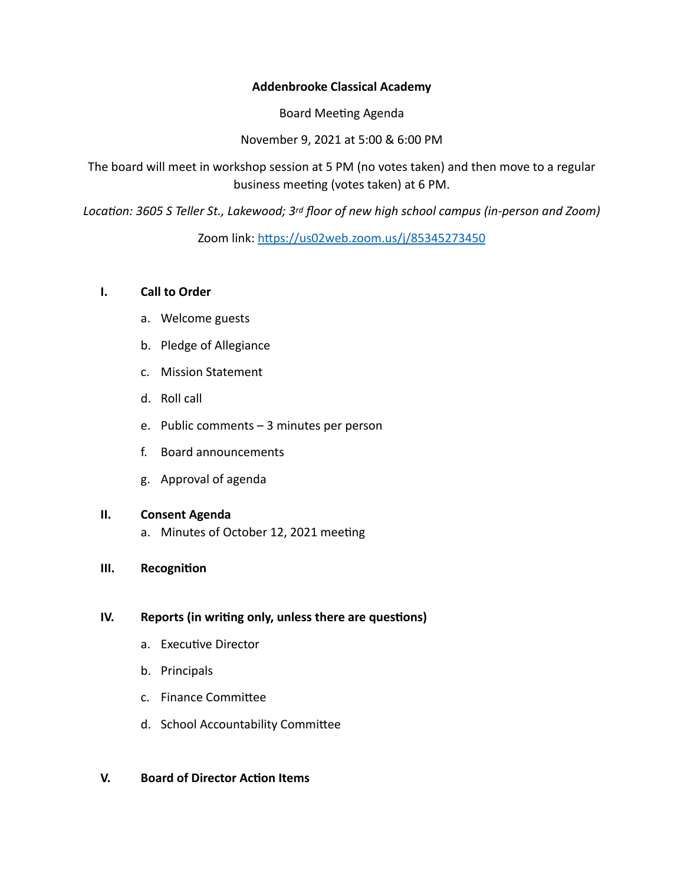#### **Addenbrooke Classical Academy**

Board Meeting Agenda

November 9, 2021 at 5:00 & 6:00 PM

The board will meet in workshop session at 5 PM (no votes taken) and then move to a regular business meeting (votes taken) at 6 PM.

*Location: 3605 S Teller St., Lakewood; 3rd floor of new high school campus (in-person and Zoom)*

Zoom link: <https://us02web.zoom.us/j/85345273450>

#### **I. Call to Order**

- a. Welcome guests
- b. Pledge of Allegiance
- c. Mission Statement
- d. Roll call
- e. Public comments 3 minutes per person
- f. Board announcements
- g. Approval of agenda

# **II. Consent Agenda**

- a. Minutes of October 12, 2021 meeting
- **III. Recognition**

# **IV. Reports (in writing only, unless there are questions)**

- a. Executive Director
- b. Principals
- c. Finance Committee
- d. School Accountability Committee

# **V. Board of Director Action Items**